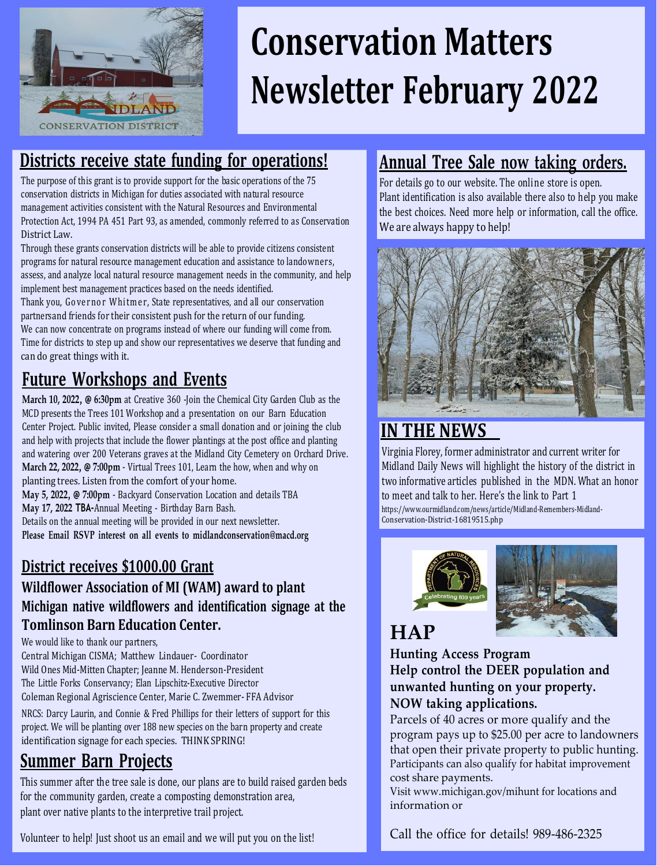

# **Conservation Matters Newsletter February 2022**

## **Districts receive state funding for operations!**

The purpose of this grant is to provide support for the basic operations of the 75 conservation districts in Michigan for duties associated with natural resource management activities consistent with the Natural Resources and Environmental Protection Act, 1994 PA 451 Part 93, as amended, commonly referred to as Conservation District Law.

Through these grants conservation districts will be able to provide citizens consistent programs for natural resource management education and assistance to landowners, assess, and analyze local natural resource management needs in the community, and help implement best management practices based on the needs identified.

Thank you, Governor Whitmer, State representatives, and all our conservation partnersand friends for their consistent push for the return of our funding. We can now concentrate on programs instead of where our funding will come from. Time for districts to step up and show our representatives we deserve that funding and can do great things with it.

# **Future Workshops and Events**

**March 10, 2022, @ 6:30pm** at Creative 360 -Join the Chemical City Garden Club as the MCD presents the Trees 101 Workshop and a presentation on our Barn Education Center Project. Public invited, Please consider a small donation and or joining the club and help with projects that include the flower plantings at the post office and planting and watering over 200 Veterans graves at the Midland City Cemetery on Orchard Drive. **March 22, 2022, @ 7:00pm** - Virtual Trees 101, Learn the how, when and why on planting trees. Listen from the comfort of your home.

**May 5, 2022, @ 7:00pm** - Backyard Conservation Location and details TBA **May 17, 2022 TBA-**Annual Meeting - Birthday Barn Bash.

Details on the annual meeting will be provided in our next newsletter. **Please Email RSVP interest on all events to [midlandconservation@macd.org](mailto:midlandconservation@macd.org)**

### **District receives \$1000.00 Grant**

#### **Wildflower Association of MI (WAM) award to plant Michigan native wildflowers and identification signage at the Tomlinson Barn Education Center.**

#### We would like to thank our partners.

Central Michigan CISMA; Matthew Lindauer- Coordinator Wild Ones Mid-Mitten Chapter; Jeanne M. Henderson-President The Little Forks Conservancy; Elan Lipschitz-Executive Director Coleman Regional Agriscience Center, Marie C. Zwemmer- FFA Advisor

NRCS: Darcy Laurin, and Connie & Fred Phillips for their letters of support for this project. We will be planting over 188 new species on the barn property and create identification signage for each species. THINK SPRING!

## **Summer Barn Projects**

This summer after the tree sale is done, our plans are to build raised garden beds for the community garden, create a composting demonstration area, plant over native plants to the interpretive trail project.

#### Volunteer to help! Just shoot us an email and we will put you on the list!

## **Annual Tree Sale now taking orders.**

For details go to our website. The online store is open. Plant identification is also available there also to help you make the best choices. Need more help or information, call the office. We are always happy to help!



## **IN THE NEWS**

Virginia Florey, former administrator and current writer for Midland Daily News will highlight the history of the district in two informative articles published in the MDN. What an honor to meet and talk to her. Here's the link to Part 1 [https://www.ourmidland.com/news/article/Midland-Remembers-Midland-](http://www.ourmidland.com/news/article/Midland-Remembers-Midland-)Conservation-District-16819515.php





# **HAP**

**Hunting Access Program Help control the DEER population and unwanted hunting on your property. NOW taking applications.**

Parcels of 40 acres or more qualify and the program pays up to \$25.00 per acre to landowners that open their private property to public hunting. Participants can also qualify for habitat improvement cost share payments.

Visit [www.michigan.gov/mihunt f](http://www.michigan.gov/mihunt)or locations and information or

Call the office for details! 989-486-2325